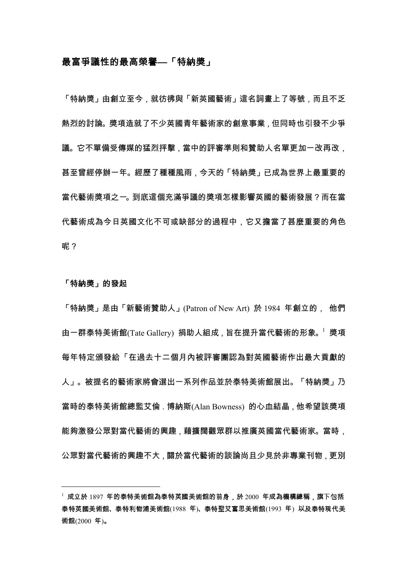## 最富爭議性的最高榮譽—「特納獎」

「特納獎」由創立至今,就彷彿與「新英國藝術」這名詞畫上了等號,而且不乏 熱烈的討論。獎項造就了不少英國青年藝術家的創意事業,但同時也引發不少爭 議。它不單備受傳媒的猛烈抨擊,當中的評審準則和贊助人名單更加一改再改, 甚至曾經停辦一年。經歷了種種風雨,今天的「特納獎」已成為世界上最重要的 當代藝術獎項之一。到底這個充滿爭議的獎項怎樣影響英國的藝術發展?而在當 代藝術成為今日英國文化不可或缺部分的過程中,它又擔當了甚麼重要的角色 呢?

## 「特納獎」的發起

「特納獎」是由「新藝術贊助人」(Patron of New Art) 於 1984 年創立的, 他們 由一群泰特美術館(Tate Gallery) 捐助人組成 , 旨在提升當代藝術的形象。 这獎項 每年特定頒發給「在過去十二個月內被評審團認為對英國藝術作出最大貢獻的 人」。被提名的藝術家將會選出一系列作品並於泰特美術館展出。「特納獎」乃 當時的泰特美術館總監艾倫 . 博納斯(Alan Bowness) 的心血結晶 , 他希望該獎項 能夠激發公眾對當代藝術的興趣,藉擴闊觀眾群以推廣英國當代藝術家。當時, 公眾對當代藝術的興趣不大,關於當代藝術的談論尚且少見於非專業刊物,更別

<sup>└</sup> 成立於 1897 年的泰特美術館為泰特英國美術館的前身,於 2000 年成為機構總稱,旗下包括 泰特英國美術館、泰特利物浦美術館(1988 年)、泰特聖艾富思美術館(1993 年) 以及泰特現代美 術館(2000年)。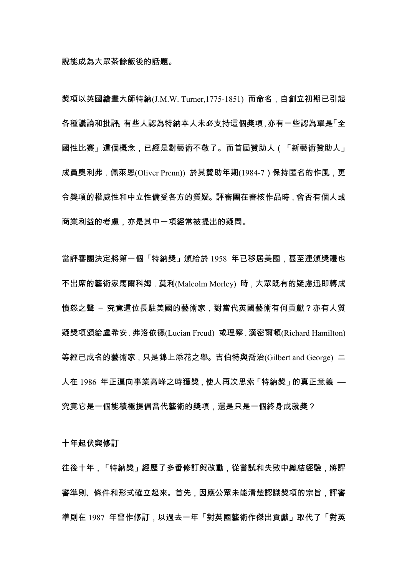獎項以英國繪畫大師特納(J.M.W. Turner.1775-1851) 而命名,自創立初期已引起 各種議論和批評。有些人認為特納本人未必支持這個獎項 亦有一些認為單是「全 國性比賽」這個概念.已經是對藝術不敬了。而首屆贊助人(「新藝術贊助人」 成員奧利弗,佩萊恩(Oliver Prenn)) 於其贊助年期(1984-7) 保持匿名的作風, 更 令獎項的權威性和中立性備受各方的質疑。評審團在審核作品時,會否有個人或 商業利益的考慮,亦是其中一項經常被提出的疑問。

當評審團決定將第一個「特納獎」頒給於 1958 年已移居美國,甚至連頒獎禮也 不出席的藝術家馬爾科姆. 莫利(Malcolm Morley) 時, 大眾既有的疑慮迅即轉成 憤怒之聲 - 究竟這位長駐美國的藝術家,對當代英國藝術有何貢獻?亦有人質 疑獎項頒給盧希安. 弗洛依德(Lucian Freud) 或理察. 漢密爾頓(Richard Hamilton) 等經已成名的藝術家, 只是錦上添花之舉。吉伯特與喬治(Gilbert and George) 二 人在1986年正邁向事業高峰之時獲獎,使人再次思索「特納獎」的真正意義 — 究竟它是一個能積極提倡當代藝術的獎項,還是只是一個終身成就獎?

十年起伏與修訂

往後十年,「特納獎」經歷了多番修訂與改動,從嘗試和失敗中總結經驗,將評 審準則、條件和形式確立起來。首先,因應公眾未能清楚認識獎項的宗旨,評審 準則在 1987 年曾作修訂,以過去一年「對英國藝術作傑出貢獻」取代了「對英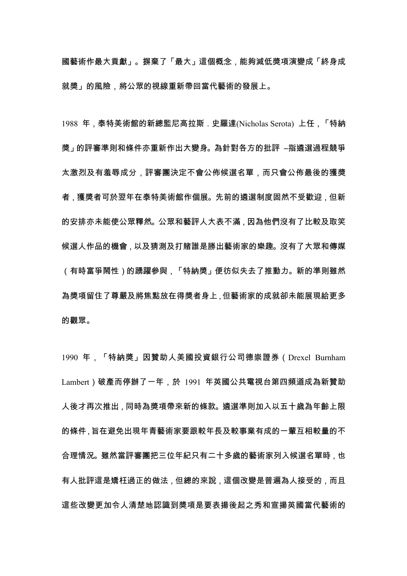國藝術作最大貢獻」。摒棄了「最大」這個概念,能夠減低獎項演變成「終身成 就獎」的風險,將公眾的視線重新帶回當代藝術的發展上。

1988 年,泰特美術館的新總監尼高拉斯,史羅達(Nicholas Serota) 上任,「特納 獎」的評審準則和條件亦重新作出大變身。 為針對各方的批評 -指遴選過程競爭 太激烈及有羞辱成分,評審團決定不會公佈候選名單,而只會公佈最後的獲獎 者,獲獎者可於翌年在泰特美術館作個展。先前的遴選制度固然不受歡迎,但新 的安排亦未能使公眾釋然。公眾和藝評人大表不滿,因為他們沒有了比較及取笑 候選人作品的機會 , 以及猜測及打賭誰是勝出藝術家的樂趣。沒有了大眾和傳媒 (有時富爭鬧性)的踴躍參與,「特納獎」便彷似失去了推動力。新的準則雖然 為獎項留住了尊嚴及將焦點放在得獎者身上,但藝術家的成就卻未能展現給更多 的觀眾。

1990年,「特納獎」因贊助人美國投資銀行公司德崇證券 (Drexel Burnham Lambert)破產而停辦了一年,於 1991 年英國公共電視台第四頻道成為新贊助 人後才再次推出 . 同時為獎項帶來新的條款。遴選準則加入以五十歲為年齡上限 的條件、旨在避免出現年青藝術家要跟較年長及較事業有成的一輩互相較量的不 合理情況。雖然當評審團把三位年紀只有二十多歲的藝術家列入候選名單時 , 也 有人批評這是矯枉過正的做法 , 但總的來說 , 這個改變是普遍為人接受的 , 而且 這些改變更加令人清楚地認識到獎項是要表揚後起之秀和宣揚英國當代藝術的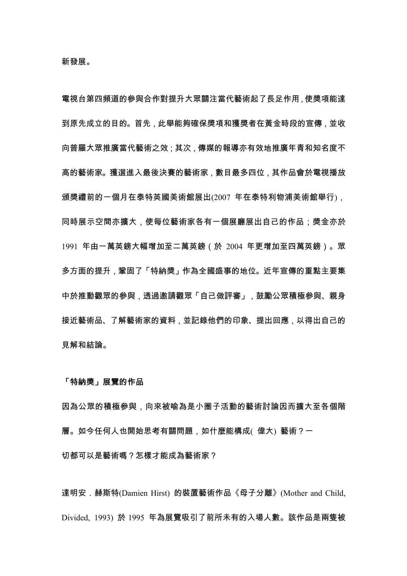電視台第四頻道的參與合作對提升大眾關注當代藝術起了長足作用,使獎項能達 到原先成立的目的。首先,此舉能夠確保獎項和獲獎者在黃金時段的宣傳,並收 向普羅大眾推廣當代藝術之效:其次,傳媒的報導亦有效地推廣年青和知名度不 高的藝術家。獲選進入最後決賽的藝術家,數目最多四位,其作品會於電視播放 頒獎禮前的一個月在泰特英國美術館展出(2007 年在泰特利物浦美術館舉行). 同時展示空間亦擴大,使每位藝術家各有一個展廳展出自己的作品;獎金亦於 1991 年由一萬英鎊大幅增加至二萬英鎊(於 2004 年更增加至四萬英鎊)。眾 多方面的提升,鞏固了「特納獎」作為全國盛事的地位。近年宣傳的重點主要集 中於推動觀眾的參與,透過邀請觀眾「自己做評審」,鼓勵公眾積極參與、親身 接近藝術品、了解藝術家的資料,並記錄他們的印象、提出回應,以得出自己的 見解和結論。

「特納獎」展覽的作品

因為公眾的積極參與,向來被喻為是小圈子活動的藝術討論因而擴大至各個階 層。如今任何人也開始思考有關問題,如什麼能構成(偉大)藝術?一 切都可以是藝術嗎?怎樣才能成為藝術家?

達明安. 赫斯特(Damien Hirst) 的裝置藝術作品《母子分離》(Mother and Child, Divided, 1993) 於 1995 年為展覽吸引了前所未有的入場人數。該作品是兩隻被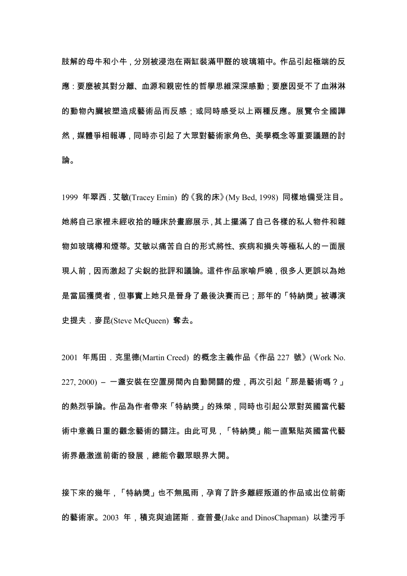肢解的母牛和小牛,分別被浸泡在兩缸裝滿甲醛的玻璃箱中。作品引起極端的反 應:要麼被其對分離、血源和親密性的哲學思維深深感動:要麼因受不了血淋淋 的動物內臟被塑造成藝術品而反感:或同時感受以上兩種反應。展覽令全國譁 然,媒體爭相報導,同時亦引起了大眾對藝術家角色、美學概念等重要議題的討 論。

1999 年翠西, 艾敏(Tracey Emin) 的《我的床》(My Bed, 1998) 同樣地備受注目。 她將自己家裡未經收拾的睡床於畫廊展示,其上擺滿了自己各樣的私人物件和雜 物如玻璃樽和煙蒂。艾敏以痛苦自白的形式將性、疾病和損失等極私人的一面展 現人前 , 因而激起了尖銳的批評和議論。這件作品家喻戶曉 , 很多人更誤以為她 是當屆獲獎者,但事實上她只是晉身了最後決賽而已:那年的「特納獎」被導演 史提夫. 麥昆(Steve McQueen) 奪去。

2001 年馬田. 克里德(Martin Creed) 的概念主義作品《作品 227 號》(Work No. 227, 2000) - 一盞安裝在空置房間內自動開關的燈,再次引起「那是藝術嗎?」 的熱烈爭論。作品為作者帶來「特納獎」的殊榮,同時也引起公眾對英國當代藝 術中意義日重的觀念藝術的關注。由此可見,「特納獎」能一直緊貼英國當代藝 術界最激進前衛的發展,總能令觀眾眼界大開。

接下來的幾年,「特納獎」也不無風雨,孕育了許多離經叛道的作品或出位前衛 的藝術家。2003 年,積克與迪諾斯.查普曼(Jake and DinosChapman) 以塗污手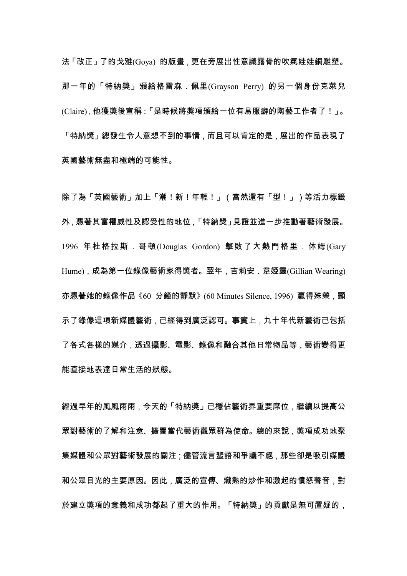法「改正」了的戈雅(Gova) 的版畫, 更在旁展出性意識露骨的吹氣娃娃銅雕塑。 那一年的「特納獎」頒給格雷森.佩里(Grayson Perry) 的另一個身份克萊兒 (Claire). 他獲獎後宣稱: 「是時候將獎項頒給一位有易服癖的陶藝工作者了!」。 「特納獎」總發生令人意想不到的事情,而且可以肯定的是,展出的作品表現了 英國藝術無盡和極端的可能性。

除了為「英國藝術」加上「潮!新!年輕!」(當然還有「型!」)等活力標籤 外,憑著其富權威性及認受性的地位,「特納獎」見證並進一步推動著藝術發展。 1996 年杜格拉斯 . 哥頓(Douglas Gordon) 擊敗了大熱門格里 . 休姆(Gary Hume), 成為第一位錄像藝術家得獎者。翌年, 吉莉安. 韋婭靈(Gillian Wearing) 亦憑著她的錄像作品《60 分鐘的靜默》(60 Minutes Silence, 1996) 贏得殊榮, 顯 示了錄像這項新媒體藝術,已經得到廣泛認可。事實上,九十年代新藝術已包括 了各式各樣的媒介,透過攝影、電影、錄像和融合其他日常物品等,藝術變得更 能直接地表達日常生活的狀態。

經過早年的風風雨雨,今天的「特納獎」已穩佔藝術界重要席位,繼續以提高公 眾對藝術的了解和注意、擴闊當代藝術觀眾群為使命。總的來說,獎項成功地聚 集媒體和公眾對藝術發展的關注 ; 儘管流言蜚語和爭議不絕 , 那些卻是吸引媒體 和公眾目光的主要原因。因此,廣泛的宣傳、熾熱的炒作和激起的憤怒聲音,對 於建立獎項的意義和成功都起了重大的作用。「特納獎」的貢獻是無可置疑的,